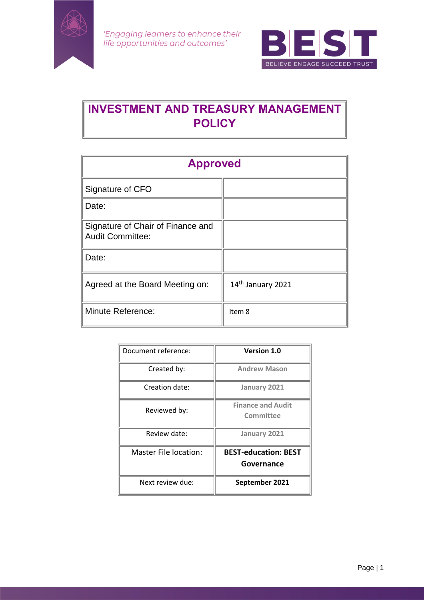

'Engaging learners to enhance their life opportunities and outcomes'



# **INVESTMENT AND TREASURY MANAGEMENT POLICY**

| <b>Approved</b>                                              |                   |
|--------------------------------------------------------------|-------------------|
| Signature of CFO                                             |                   |
| Date:                                                        |                   |
| Signature of Chair of Finance and<br><b>Audit Committee:</b> |                   |
| Date:                                                        |                   |
| Agreed at the Board Meeting on:                              | 14th January 2021 |
| <b>Minute Reference:</b>                                     | Item 8            |

| Document reference:   | <b>Version 1.0</b>                        |
|-----------------------|-------------------------------------------|
| Created by:           | <b>Andrew Mason</b>                       |
| Creation date:        | January 2021                              |
| Reviewed by:          | <b>Finance and Audit</b><br>Committee     |
| Review date:          | January 2021                              |
| Master File location: | <b>BEST-education: BEST</b><br>Governance |
| Next review due:      | September 2021                            |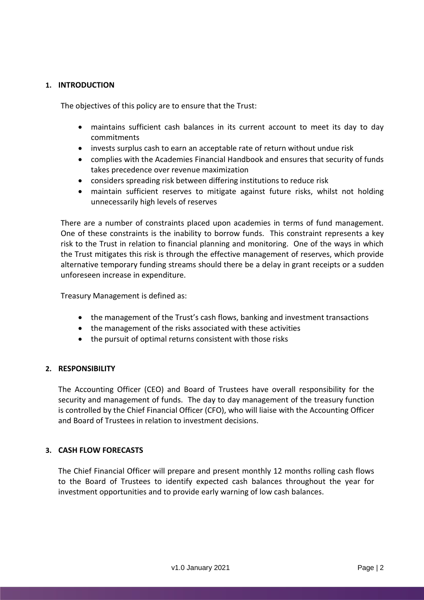# **1. INTRODUCTION**

The objectives of this policy are to ensure that the Trust:

- maintains sufficient cash balances in its current account to meet its day to day commitments
- invests surplus cash to earn an acceptable rate of return without undue risk
- complies with the Academies Financial Handbook and ensures that security of funds takes precedence over revenue maximization
- considers spreading risk between differing institutions to reduce risk
- maintain sufficient reserves to mitigate against future risks, whilst not holding unnecessarily high levels of reserves

There are a number of constraints placed upon academies in terms of fund management. One of these constraints is the inability to borrow funds. This constraint represents a key risk to the Trust in relation to financial planning and monitoring. One of the ways in which the Trust mitigates this risk is through the effective management of reserves, which provide alternative temporary funding streams should there be a delay in grant receipts or a sudden unforeseen increase in expenditure.

Treasury Management is defined as:

- the management of the Trust's cash flows, banking and investment transactions
- the management of the risks associated with these activities
- the pursuit of optimal returns consistent with those risks

# **2. RESPONSIBILITY**

The Accounting Officer (CEO) and Board of Trustees have overall responsibility for the security and management of funds. The day to day management of the treasury function is controlled by the Chief Financial Officer (CFO), who will liaise with the Accounting Officer and Board of Trustees in relation to investment decisions.

# **3. CASH FLOW FORECASTS**

The Chief Financial Officer will prepare and present monthly 12 months rolling cash flows to the Board of Trustees to identify expected cash balances throughout the year for investment opportunities and to provide early warning of low cash balances.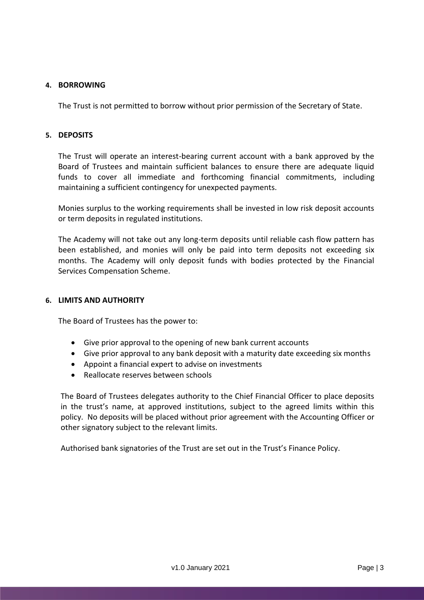### **4. BORROWING**

The Trust is not permitted to borrow without prior permission of the Secretary of State.

#### **5. DEPOSITS**

The Trust will operate an interest-bearing current account with a bank approved by the Board of Trustees and maintain sufficient balances to ensure there are adequate liquid funds to cover all immediate and forthcoming financial commitments, including maintaining a sufficient contingency for unexpected payments.

Monies surplus to the working requirements shall be invested in low risk deposit accounts or term deposits in regulated institutions.

The Academy will not take out any long-term deposits until reliable cash flow pattern has been established, and monies will only be paid into term deposits not exceeding six months. The Academy will only deposit funds with bodies protected by the Financial Services Compensation Scheme.

#### **6. LIMITS AND AUTHORITY**

The Board of Trustees has the power to:

- Give prior approval to the opening of new bank current accounts
- Give prior approval to any bank deposit with a maturity date exceeding six months
- Appoint a financial expert to advise on investments
- Reallocate reserves between schools

The Board of Trustees delegates authority to the Chief Financial Officer to place deposits in the trust's name, at approved institutions, subject to the agreed limits within this policy. No deposits will be placed without prior agreement with the Accounting Officer or other signatory subject to the relevant limits.

Authorised bank signatories of the Trust are set out in the Trust's Finance Policy.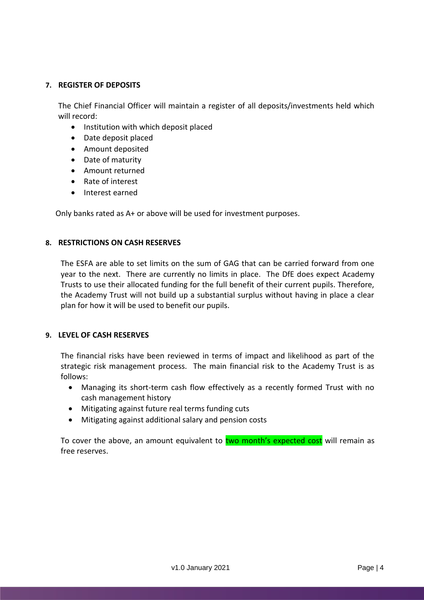# **7. REGISTER OF DEPOSITS**

The Chief Financial Officer will maintain a register of all deposits/investments held which will record:

- Institution with which deposit placed
- Date deposit placed
- Amount deposited
- Date of maturity
- Amount returned
- Rate of interest
- Interest earned

Only banks rated as A+ or above will be used for investment purposes.

#### **8. RESTRICTIONS ON CASH RESERVES**

The ESFA are able to set limits on the sum of GAG that can be carried forward from one year to the next. There are currently no limits in place. The DfE does expect Academy Trusts to use their allocated funding for the full benefit of their current pupils. Therefore, the Academy Trust will not build up a substantial surplus without having in place a clear plan for how it will be used to benefit our pupils.

#### **9. LEVEL OF CASH RESERVES**

The financial risks have been reviewed in terms of impact and likelihood as part of the strategic risk management process. The main financial risk to the Academy Trust is as follows:

- Managing its short-term cash flow effectively as a recently formed Trust with no cash management history
- Mitigating against future real terms funding cuts
- Mitigating against additional salary and pension costs

To cover the above, an amount equivalent to two month's expected cost will remain as free reserves.